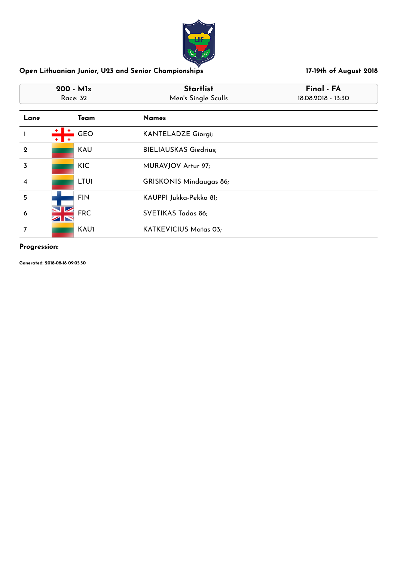

| $200 - M1x$<br>Race: 32 |                  | <b>Startlist</b><br>Men's Single Sculls | Final - FA<br>18.08.2018 - 13:30 |
|-------------------------|------------------|-----------------------------------------|----------------------------------|
| Lane                    | Team             | <b>Names</b>                            |                                  |
| -1                      | <b>GEO</b><br>Ŧ. | <b>KANTELADZE Giorgi;</b>               |                                  |
| $\mathbf{2}$            | KAU              | <b>BIELIAUSKAS Giedrius;</b>            |                                  |
| 3                       | <b>KIC</b>       | MURAVJOV Artur 97;                      |                                  |
| $\overline{\mathbf{4}}$ | <b>LTU1</b>      | <b>GRISKONIS Mindaugas 86;</b>          |                                  |
| 5                       | <b>FIN</b>       | KAUPPI Jukka-Pekka 81;                  |                                  |
| 6                       | <b>FRC</b>       | SVETIKAS Tadas 86;                      |                                  |
| 7                       | <b>KAU1</b>      | KATKEVICIUS Matas 03;                   |                                  |

### **Progression:**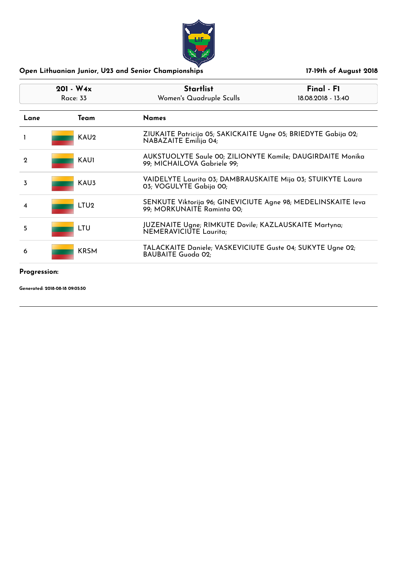| $201 - W4x$<br>Race: 33 |                  | <b>Startlist</b><br>Women's Quadruple Sculls                                                | Final - F1<br>18.08.2018 - 13:40                            |  |
|-------------------------|------------------|---------------------------------------------------------------------------------------------|-------------------------------------------------------------|--|
| Lane                    | Team             | <b>Names</b>                                                                                |                                                             |  |
|                         | KAU <sub>2</sub> | ZIUKAITE Patricija 05; SAKICKAITE Ugne 05; BRIEDYTE Gabija 02;<br>NABAZAITE Emilija 04;     |                                                             |  |
| $\mathbf 2$             | KAU1             | 99; MICHAILOVA Gabriele 99;                                                                 | AUKSTUOLYTE Saule 00; ZILIONYTE Kamile; DAUGIRDAITE Monika  |  |
| 3                       | KAU3             | 03; VOGULYTE Gabija 00;                                                                     | VAIDELYTE Laurita 03; DAMBRAUSKAITE Mija 03; STUIKYTE Laura |  |
| 4                       | LTU <sub>2</sub> | SENKUTE Viktorija 96; GINEVICIUTE Agne 98; MEDELINSKAITE leva<br>99; MORKUNAITE Raminta 00; |                                                             |  |
| 5                       | LTU              | JUZENAITE Ugne; RIMKUTE Dovile; KAZLAUSKAITE Martyna;<br>NEMERAVICIUTE Laurita;             |                                                             |  |
| 6                       | <b>KRSM</b>      | TALACKAITE Daniele; VASKEVICIUTE Guste 04; SUKYTE Ugne 02;<br><b>BAUBAITE Guoda 02;</b>     |                                                             |  |
| Progression:            |                  |                                                                                             |                                                             |  |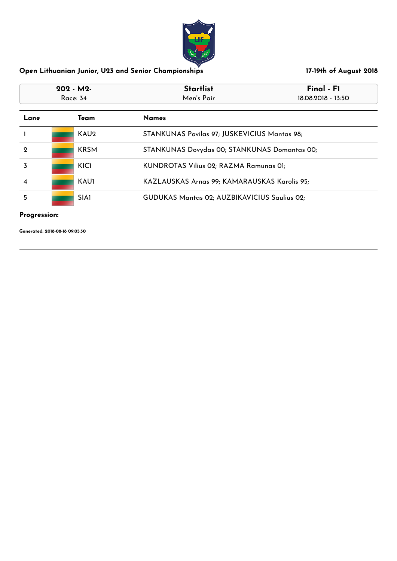

| $202 - M2$<br>Race: 34 |                  | <b>Startlist</b><br>Men's Pair               | Final - F1<br>18.08.2018 - 13:50             |  |
|------------------------|------------------|----------------------------------------------|----------------------------------------------|--|
| Lane                   | Team             | <b>Names</b>                                 |                                              |  |
|                        | KAU <sub>2</sub> | STANKUNAS Povilas 97; JUSKEVICIUS Mantas 98; |                                              |  |
| $\mathbf 2$            | <b>KRSM</b>      |                                              | STANKUNAS Dovydas 00; STANKUNAS Domantas 00; |  |
| 3                      | KIC1             |                                              | KUNDROTAS Vilius 02; RAZMA Ramunas 01;       |  |
| $\overline{\bf 4}$     | <b>KAU1</b>      | KAZLAUSKAS Arnas 99; KAMARAUSKAS Karolis 95; |                                              |  |
| 5                      | SIA1             |                                              | GUDUKAS Mantas 02; AUZBIKAVICIUS Saulius 02; |  |

## **Progression:**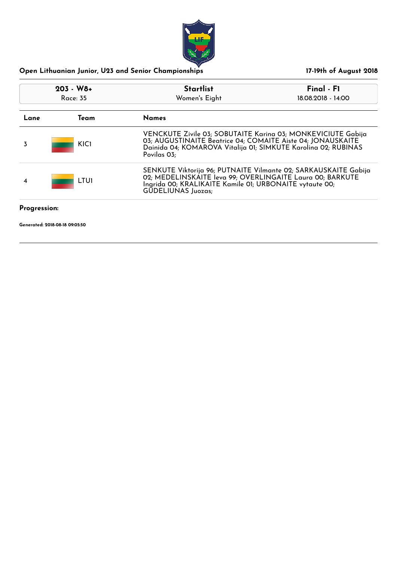

| $203 - W8 +$<br>Race: 35 |                  | <b>Startlist</b>                                                                                                                                                                                                     | Final - F1         |
|--------------------------|------------------|----------------------------------------------------------------------------------------------------------------------------------------------------------------------------------------------------------------------|--------------------|
|                          |                  | Women's Eight                                                                                                                                                                                                        | 18.08.2018 - 14:00 |
| Lane                     | Team             | <b>Names</b>                                                                                                                                                                                                         |                    |
| 3                        | KIC1             | VENCKUTE Zivile 03; SOBUTAITE Karina 03; MONKEVICIUTE Gabija<br>03; AUGUSTINAITE Beatrice 04; COMAITE Aiste 04; JONAUSKAITE<br>Dainida 04; KOMAROVA Vitalija 01; SIMKUTE Karolina 02; RUBINAS<br>Povilas 03;         |                    |
| 4                        | LTU <sub>1</sub> | SENKUTE Viktorija 96; PUTNAITE Vilmante 02; SARKAUSKAITE Gabija<br>02; MEDELINSKAITE leva 99; OVERLINGAITE Laura 00; BARKUTE<br>Ingrida 00; KRALIKAITE Kamile 01; URBONAITE vytaute 00;<br><b>GUDELIUNAS Juozas:</b> |                    |
| Progression:             |                  |                                                                                                                                                                                                                      |                    |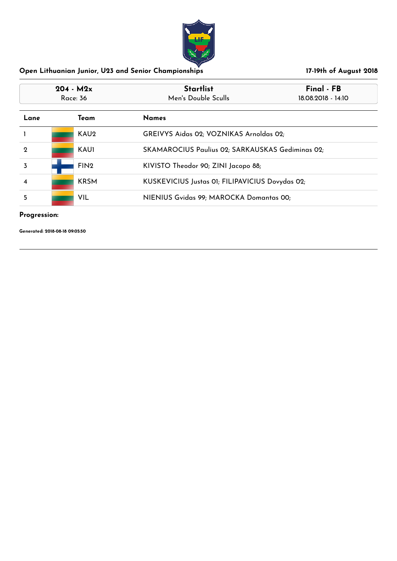

| $204 - M2x$<br>Race: 36      |                  | <b>Startlist</b><br>Men's Double Sculls          | Final - FB<br>18.08.2018 - 14:10 |
|------------------------------|------------------|--------------------------------------------------|----------------------------------|
| <b>Names</b><br>Lane<br>Team |                  |                                                  |                                  |
|                              | KAU <sub>2</sub> | GREIVYS Aidas 02; VOZNIKAS Arnoldas 02;          |                                  |
| $\mathbf 2$                  | <b>KAU1</b>      | SKAMAROCIUS Paulius 02; SARKAUSKAS Gediminas 02; |                                  |
|                              | FIN <sub>2</sub> | KIVISTO Theodor 90; ZINI Jacopo 88;              |                                  |
| 4                            | <b>KRSM</b>      | KUSKEVICIUS Justas 01; FILIPAVICIUS Dovydas 02;  |                                  |
| 5                            | <b>VIL</b>       | NIENIUS Gvidas 99; MAROCKA Domantas 00;          |                                  |

## **Progression:**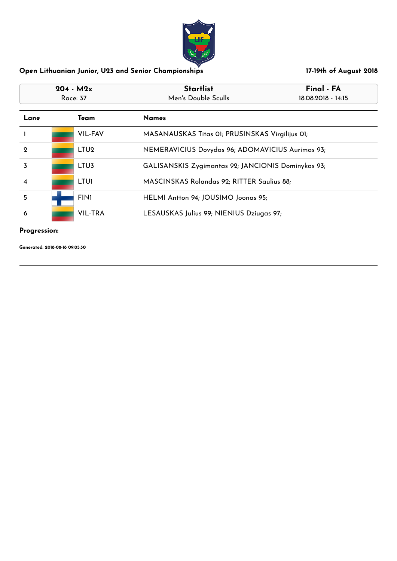

| $204 - M2x$<br>Race: 37 |  |                      | <b>Startlist</b><br>Final - FA<br>Men's Double Sculls<br>18.08.2018 - 14:15 |                                                    |  |
|-------------------------|--|----------------------|-----------------------------------------------------------------------------|----------------------------------------------------|--|
| Lane                    |  | <b>Names</b><br>Team |                                                                             |                                                    |  |
|                         |  | <b>VIL-FAV</b>       |                                                                             | MASANAUSKAS Titas 01; PRUSINSKAS Virgilijus 01;    |  |
| $\mathbf 2$             |  | LTU <sub>2</sub>     | NEMERAVICIUS Dovydas 96; ADOMAVICIUS Aurimas 93;                            |                                                    |  |
| 3                       |  | LTU <sub>3</sub>     |                                                                             | GALISANSKIS Zygimantas 92; JANCIONIS Dominykas 93; |  |
| $\overline{\mathbf{4}}$ |  | <b>LTUI</b>          | MASCINSKAS Rolandas 92; RITTER Saulius 88;                                  |                                                    |  |
| 5                       |  | <b>FIN1</b>          | HELMI Antton 94; JOUSIMO Joonas 95;                                         |                                                    |  |
| 6                       |  | <b>VIL-TRA</b>       | LESAUSKAS Julius 99; NIENIUS Dziugas 97;                                    |                                                    |  |

### **Progression:**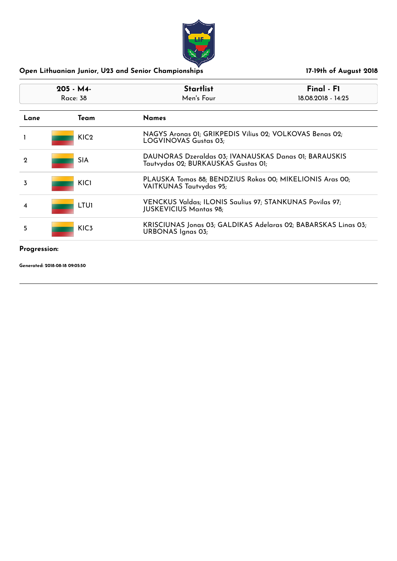

| $205 - M4$<br>Race: 38<br><b>Names</b><br>Team<br>Lane |                  | <b>Startlist</b><br>Men's Four                                                               | $Final - FI$<br>18.08.2018 - 14:25                       |  |
|--------------------------------------------------------|------------------|----------------------------------------------------------------------------------------------|----------------------------------------------------------|--|
|                                                        |                  |                                                                                              |                                                          |  |
|                                                        | KIC <sub>2</sub> | LOGVINOVAS Gustas 03;                                                                        | NAGYS Aronas OI; GRIKPEDIS Vilius 02; VOLKOVAS Benas 02; |  |
| $\mathbf 2$                                            | <b>SIA</b>       | DAUNORAS Dzeraldas 03; IVANAUSKAS Danas 01; BARAUSKIS<br>Tautvydas 02; BURKAUSKAS Gustas 01; |                                                          |  |
| 3                                                      | <b>KICI</b>      | PLAUSKA Tomas 88; BENDZIUS Rokas 00; MIKELIONIS Aras 00;<br>VAITKUNAS Tautvydas 95;          |                                                          |  |
| 4                                                      | <b>LTUI</b>      | VENCKUS Valdas; ILONIS Saulius 97; STANKUNAS Povilas 97;<br><b>JUSKEVICIUS Mantas 98;</b>    |                                                          |  |
| 5                                                      | KIC <sub>3</sub> | KRISCIUNAS Jonas 03; GALDIKAS Adelaras 02; BABARSKAS Linas 03;<br><b>URBONAS Ignas 03;</b>   |                                                          |  |
|                                                        |                  |                                                                                              |                                                          |  |

### **Progression:**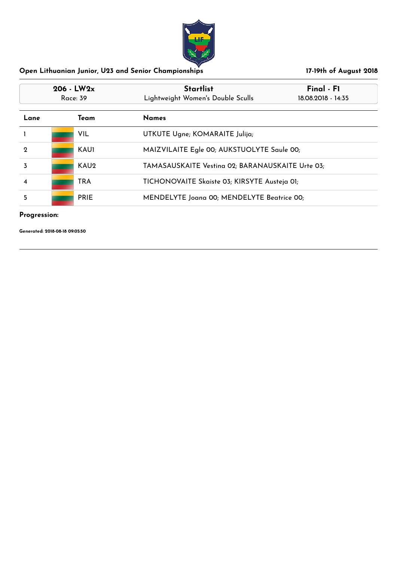

| $206 - LW2x$<br>Race: 39     |  |                  | <b>Startlist</b><br>Lightweight Women's Double Sculls | Final - F1<br>18.08.2018 - 14:35 |
|------------------------------|--|------------------|-------------------------------------------------------|----------------------------------|
| <b>Names</b><br>Lane<br>Team |  |                  |                                                       |                                  |
|                              |  | VIL.             | UTKUTE Ugne; KOMARAITE Julija;                        |                                  |
| $\mathbf 2$                  |  | <b>KAU1</b>      | MAIZVILAITE Egle 00; AUKSTUOLYTE Saule 00;            |                                  |
|                              |  | KAU <sub>2</sub> | TAMASAUSKAITE Vesting 02; BARANAUSKAITE Urte 03;      |                                  |
| 4                            |  | <b>TRA</b>       | TICHONOVAITE Skaiste 03; KIRSYTE Austeja 01;          |                                  |
| 5                            |  | <b>PRIE</b>      | MENDELYTE Joana 00; MENDELYTE Beatrice 00;            |                                  |

## **Progression:**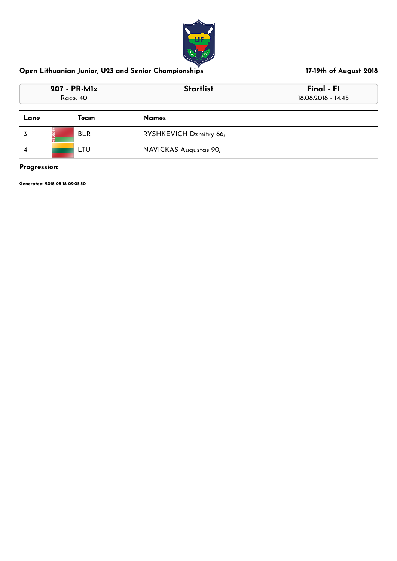

| 207 - PR-MIx<br><b>Race: 40</b> |            | <b>Startlist</b>       | Final - F1<br>18.08.2018 - 14:45 |  |
|---------------------------------|------------|------------------------|----------------------------------|--|
| Lane                            | Team       | <b>Names</b>           |                                  |  |
|                                 | <b>BLR</b> | RYSHKEVICH Dzmitry 86; |                                  |  |
|                                 | LTU        | NAVICKAS Augustas 90;  |                                  |  |

**Progression:**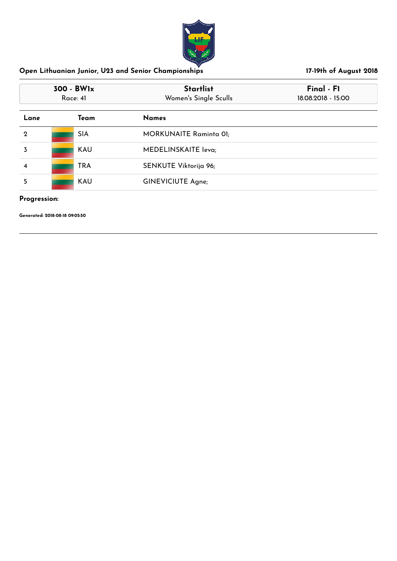

| 300 - BWlx<br>Race: 41 |  |            | <b>Startlist</b><br>Women's Single Sculls | Final - F1<br>18.08.2018 - 15:00 |
|------------------------|--|------------|-------------------------------------------|----------------------------------|
| Lane                   |  | Team       | <b>Names</b>                              |                                  |
| $\mathbf 2$            |  | <b>SIA</b> | <b>MORKUNAITE Raminta 01;</b>             |                                  |
| 3                      |  | <b>KAU</b> | MEDELINSKAITE leva;                       |                                  |
| 4                      |  | <b>TRA</b> | SENKUTE Viktorija 96;                     |                                  |
| 5                      |  | <b>KAU</b> | <b>GINEVICIUTE Agne;</b>                  |                                  |

## **Progression:**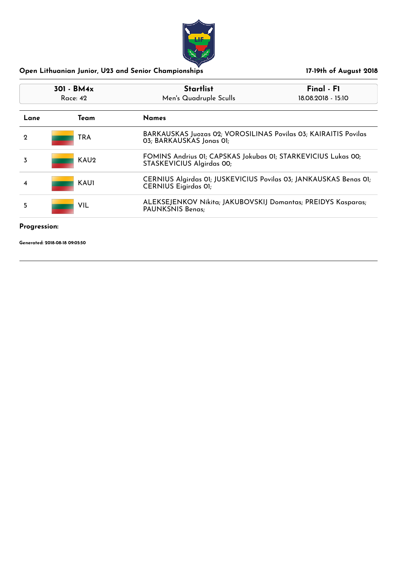

| $301 - BM4x$<br>Race: 42 | <b>Startlist</b><br>Men's Quadruple Sculls                                                       | Final - F1<br>18.08.2018 - 15:10 |
|--------------------------|--------------------------------------------------------------------------------------------------|----------------------------------|
| Team                     | <b>Names</b>                                                                                     |                                  |
| <b>TRA</b>               | BARKAUSKAS Juozas 02; VOROSILINAS Povilas 03; KAIRAITIS Povilas<br>03; BARKAUSKAS Jonas 01;      |                                  |
| KAU <sub>2</sub>         | FOMINS Andrius 01; CAPSKAS Jokubas 01; STARKEVICIUS Lukas 00;<br>STASKEVICIUS Algirdas 00;       |                                  |
| <b>KAU1</b>              | CERNIUS Algirdas 01; JUSKEVICIUS Povilas 03; JANKAUSKAS Benas 01;<br><b>CERNIUS Eigirdas OI;</b> |                                  |
| <b>VIL</b>               | ALEKSEJENKOV Nikita; JAKUBOVSKIJ Domantas; PREIDYS Kasparas;<br>PAUNKSNIS Benas;                 |                                  |
|                          |                                                                                                  |                                  |

# **Progression:**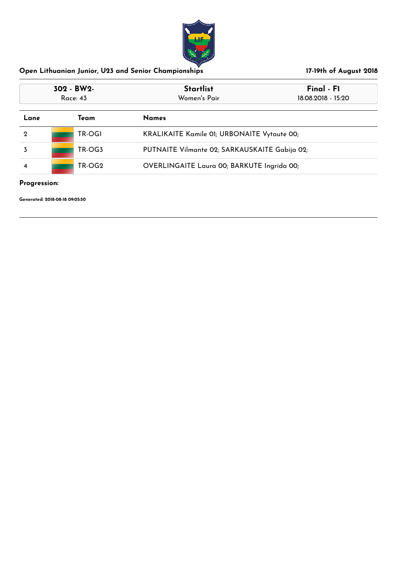

| 302 - BW2-<br>Race: 43 |        | <b>Startlist</b><br>Women's Pair                   | Final - F1<br>18.08.2018 - 15:20 |  |
|------------------------|--------|----------------------------------------------------|----------------------------------|--|
| Team<br>Lane           |        | <b>Names</b>                                       |                                  |  |
| $\mathbf 2$            | TR-OGI | <b>KRALIKAITE Kamile 01; URBONAITE Vytaute 00;</b> |                                  |  |
|                        | TR-OG3 | PUTNAITE Vilmante 02; SARKAUSKAITE Gabija 02;      |                                  |  |
| TR-OG2<br>4            |        | OVERLINGAITE Laura 00; BARKUTE Ingrida 00;         |                                  |  |

**Progression:**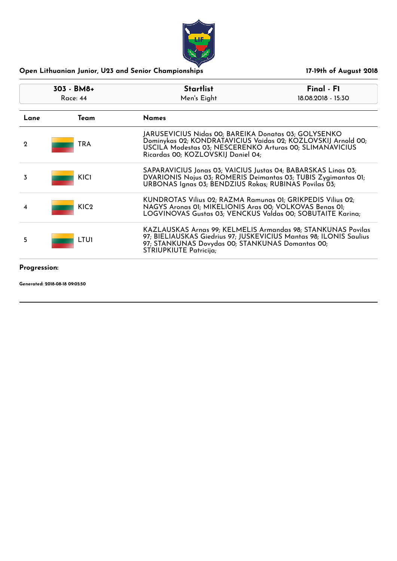| 303 - BM8+<br>Race: $44$ |                  | <b>Startlist</b><br>Men's Eight                                                                                                                                                                                         | Final - F1<br>18.08.2018 - 15:30 |  |
|--------------------------|------------------|-------------------------------------------------------------------------------------------------------------------------------------------------------------------------------------------------------------------------|----------------------------------|--|
| Lane                     | Team             | <b>Names</b>                                                                                                                                                                                                            |                                  |  |
| $\mathbf 2$              | TRA              | JARUSEVICIUS Nidas 00; BAREIKA Donatas 03; GOLYSENKO<br>Dominykas 02; KONDRATAVICIUS Vaidas 02; KOZLOVSKIJ Arnold 00;<br>USCILA Modestas 03; NESCERENKO Arturas 00; SLIMANAVICIUS<br>Ricardas 00; KOZLOVSKIJ Daniel 04; |                                  |  |
| 3                        | <b>KICI</b>      | SAPARAVICIUS Jonas 03; VAICIUS Justas 04; BABARSKAS Linas 03;<br>DVARIONIS Nojus 03; ROMERIS Deimantas 03; TUBIS Zygimantas 01;<br>URBONAS Ignas 03; BENDZIUS Rokas; RUBINAS Povilas 03;                                |                                  |  |
| 4                        | KIC <sub>2</sub> | KUNDROTAS Vilius 02; RAZMA Ramunas 01; GRIKPEDIS Vilius 02;<br>NAGYS Aronas 01; MIKELIONIS Aras 00; VOLKOVAS Benas 01;<br>LOGVINOVAS Gustas 03; VENCKUS Valdas 00; SOBUTAITE Karina;                                    |                                  |  |
| 5                        | <b>LTUI</b>      | KAZLAUSKAS Arnas 99; KELMELIS Armandas 98; STANKUNAS Povilas<br>97; BIELIAUSKAS Giedrius 97; JUSKEVICIUS Mantas 98; ILONIS Saulius<br>97; STANKUNAS Dovydas 00; STANKUNAS Domantas 00;<br><b>STRIUPKIUTE Patricija;</b> |                                  |  |
| Progression:             |                  |                                                                                                                                                                                                                         |                                  |  |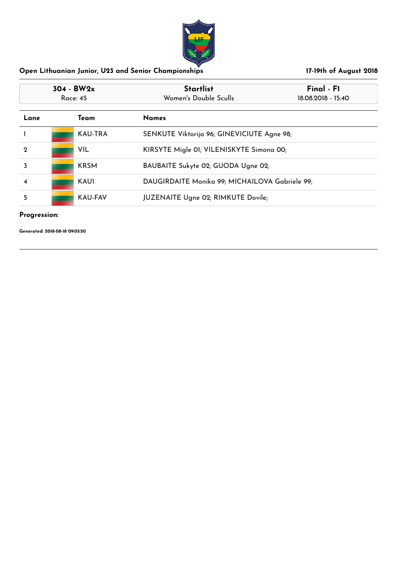

| 304 - BW2x<br>Race: 45 |  |                | <b>Startlist</b><br>Women's Double Sculls      | Final - F1<br>18.08.2018 - 15:40 |
|------------------------|--|----------------|------------------------------------------------|----------------------------------|
| Lane                   |  | Team           | <b>Names</b>                                   |                                  |
|                        |  | <b>KAU-TRA</b> | SENKUTE Viktorija 96; GINEVICIUTE Agne 98;     |                                  |
| $\mathbf 2$            |  | <b>VIL</b>     | KIRSYTE Migle 01; VILENISKYTE Simona 00;       |                                  |
| 3                      |  | <b>KRSM</b>    | BAUBAITE Sukyte 02; GUODA Ugne 02;             |                                  |
| 4                      |  | <b>KAU1</b>    | DAUGIRDAITE Monika 99; MICHAILOVA Gabriele 99; |                                  |
| 5                      |  | <b>KAU-FAV</b> | <b>JUZENAITE Ugne 02; RIMKUTE Dovile;</b>      |                                  |

## **Progression:**